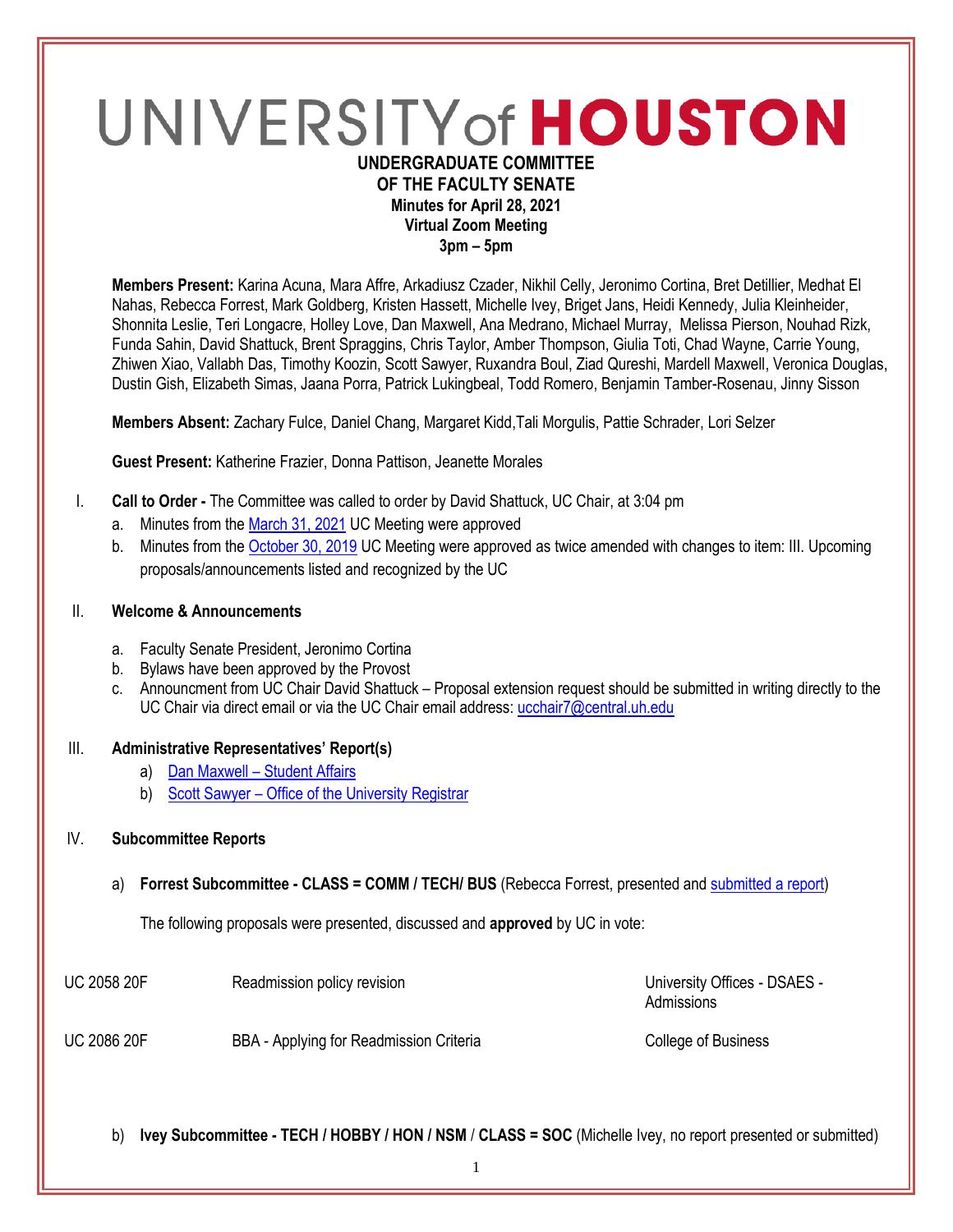# UNIVERSITY of HOUSTON **UNDERGRADUATE COMMITTEE**

# **OF THE FACULTY SENATE Minutes for April 28, 2021 Virtual Zoom Meeting**

**3pm – 5pm**

**Members Present:** Karina Acuna, Mara Affre, Arkadiusz Czader, Nikhil Celly, Jeronimo Cortina, Bret Detillier, Medhat El Nahas, Rebecca Forrest, Mark Goldberg, Kristen Hassett, Michelle Ivey, Briget Jans, Heidi Kennedy, Julia Kleinheider, Shonnita Leslie, Teri Longacre, Holley Love, Dan Maxwell, Ana Medrano, Michael Murray, Melissa Pierson, Nouhad Rizk, Funda Sahin, David Shattuck, Brent Spraggins, Chris Taylor, Amber Thompson, Giulia Toti, Chad Wayne, Carrie Young, Zhiwen Xiao, Vallabh Das, Timothy Koozin, Scott Sawyer, Ruxandra Boul, Ziad Qureshi, Mardell Maxwell, Veronica Douglas, Dustin Gish, Elizabeth Simas, Jaana Porra, Patrick Lukingbeal, Todd Romero, Benjamin Tamber-Rosenau, Jinny Sisson

**Members Absent:** Zachary Fulce, Daniel Chang, Margaret Kidd,Tali Morgulis, Pattie Schrader, Lori Selzer

**Guest Present:** Katherine Frazier, Donna Pattison, Jeanette Morales

- I. **Call to Order -** The Committee was called to order by David Shattuck, UC Chair, at 3:04 pm
	- a. Minutes from th[e March 31, 2021](https://uh.edu/undergraduate-committee/meetings/agendas-minutes/ay-2021/m_2021_03311.pdf) UC Meeting were approved
	- b. Minutes from th[e October 30, 2019](https://uh.edu/undergraduate-committee/meetings/agendas-minutes/ay-1920/m_2019_10302.pdf) UC Meeting were approved as twice amended with changes to item: III. Upcoming proposals/announcements listed and recognized by the UC

#### II. **Welcome & Announcements**

- a. Faculty Senate President, Jeronimo Cortina
- b. Bylaws have been approved by the Provost
- c. Announcment from UC Chair David Shattuck Proposal extension request should be submitted in writing directly to the UC Chair via direct email or via the UC Chair email address[: ucchair7@central.uh.edu](mailto:ucchair7@central.uh.edu)

# III. **Administrative Representatives' Report(s)**

- a) Dan Maxwell [Student Affairs](https://uofh.sharepoint.com/:b:/s/uc/admin/EWEv6LzFnRhOsauK9AbOLcMBpsXnel9Gi-UuCMLQBN4tYg?e=YB1Lgy)
- b) Scott Sawyer [Office of the University Registrar](https://uofh.sharepoint.com/:p:/s/uc/admin/EdW9_FDlV5dGnFN4HHGeARkBIPIuivDO7BaFeKgtIbw3RQ?e=DLXae5)

# IV. **Subcommittee Reports**

# a) **Forrest Subcommittee - CLASS = COMM / TECH/ BUS** (Rebecca Forrest, presented an[d submitted a report\)](https://uofh.sharepoint.com/:w:/s/uc/admin/ES4vpvb_QONOtWY6Nowx5uEBc85F8NW42Ffmu38bQeBzKw?e=fsccpS)

The following proposals were presented, discussed and **approved** by UC in vote:

| <b>UC 2058 20F</b><br>Readmission policy revision |
|---------------------------------------------------|
|---------------------------------------------------|

University Offices - DSAES -Admissions

UC 2086 20F BBA - Applying for Readmission Criteria College of Business

b) **Ivey Subcommittee - TECH / HOBBY / HON / NSM** / **CLASS = SOC** (Michelle Ivey, no report presented or submitted)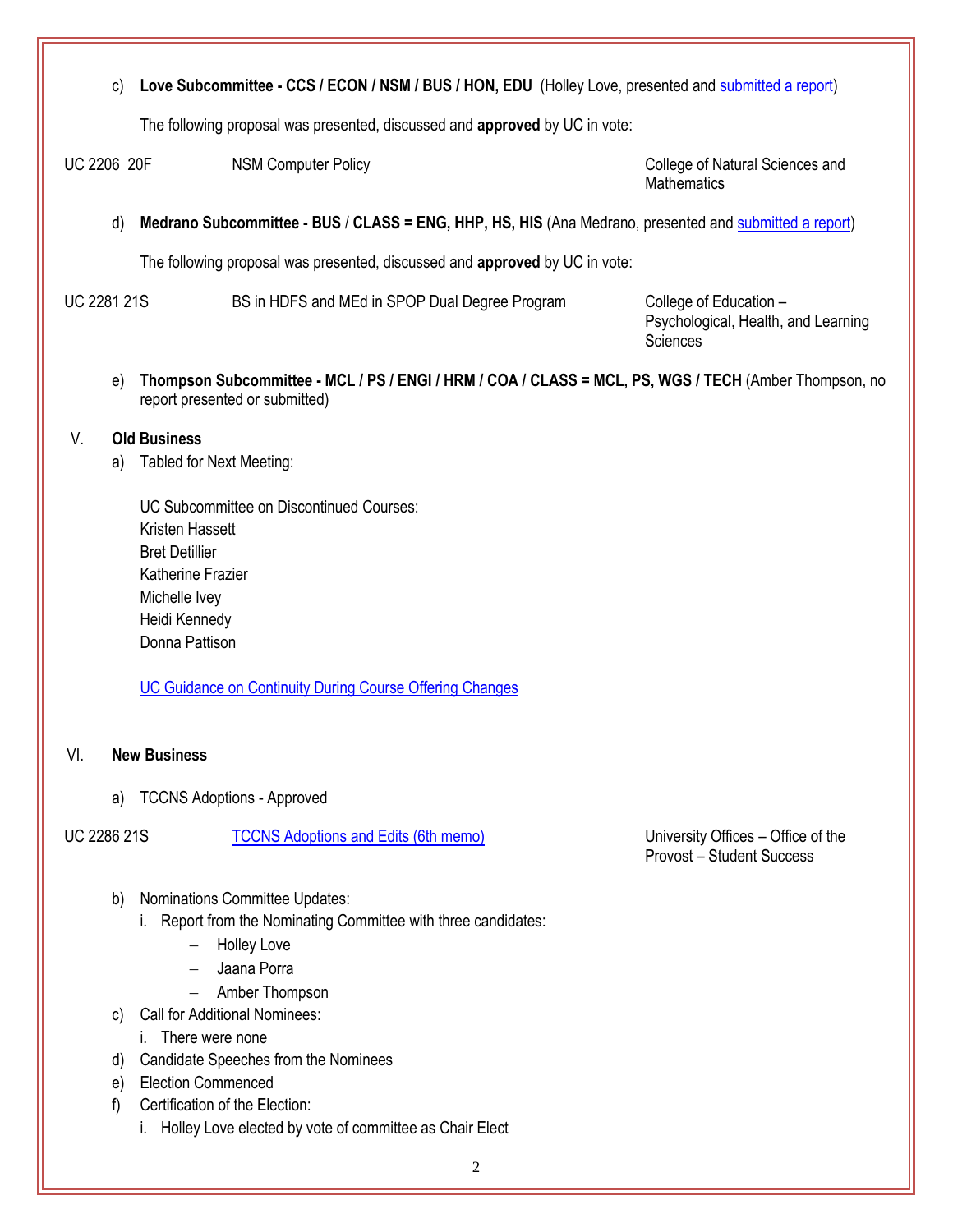c) **Love Subcommittee - CCS / ECON / NSM / BUS / HON, EDU** (Holley Love, presented an[d submitted a report\)](https://uofh.sharepoint.com/:b:/s/uc/admin/ET3jNFOIzVBLsVa2UZrqVFsBaXIWZB4zR9RuTE1Vh5jFEA?e=1xQm5P)

The following proposal was presented, discussed and **approved** by UC in vote:

UC 2206 20F NSM Computer Policy College of Natural Sciences and

**Mathematics** 

d) **Medrano Subcommittee - BUS** / **CLASS = ENG, HHP, HS, HIS** (Ana Medrano, presented and [submitted](https://uofh.sharepoint.com/:w:/s/uc/admin/ETAzOs7fYvBIhDaZ0iyBbWoB3wG_I7WZ7nZWGqXsk__3SQ?e=cOtbeW) a report)

The following proposal was presented, discussed and **approved** by UC in vote:

UC 2281 21S BS in HDFS and MEd in SPOP Dual Degree Program College of Education –

Psychological, Health, and Learning **Sciences** 

e) **Thompson Subcommittee - MCL / PS / ENGI / HRM / COA / CLASS = MCL, PS, WGS / TECH** (Amber Thompson, no report presented or submitted)

### V. **Old Business**

- a) Tabled for Next Meeting:
	- UC Subcommittee on Discontinued Courses: Kristen Hassett Bret Detillier Katherine Frazier Michelle Ivey Heidi Kennedy Donna Pattison

[UC Guidance on Continuity During Course Offering Changes](https://uofh.sharepoint.com/:b:/s/uc/admin/EbcYFRbvzcdCn36Tv9Q6esoBnGeAOCGCsg1sp4ict_CGaQ?e=NU2BmW)

# VI. **New Business**

a) TCCNS Adoptions - Approved

# UC 2286 21S [TCCNS Adoptions and Edits \(6th memo\)](https://uofh.sharepoint.com/sites/uc/Lists/ProposalSubmissionAndTracking/DispForm.aspx?ID=2286&ct=1618935961407&or=OWA-NT&cid=515ae59a-9770-fdda-c508-d165c831af74&originalPath=aHR0cHM6Ly91b2ZoLnNoYXJlcG9pbnQuY29tLzpsaTovcy91Yy9FM3hhM3RVVXJXWkFqUldQeWh5NDBENEJySDc1OEhwLWVWVVB3dHNBempvbVBBP3J0aW1lPWdDZ2xfUmdFMlVn) University Offices – Office of the

Provost – Student Success

- b) Nominations Committee Updates:
	- i. Report from the Nominating Committee with three candidates:
		- Holley Love
		- Jaana Porra
		- Amber Thompson
- c) Call for Additional Nominees:
	- i. There were none
- d) Candidate Speeches from the Nominees
- e) Election Commenced
- f) Certification of the Election:
	- i. Holley Love elected by vote of committee as Chair Elect